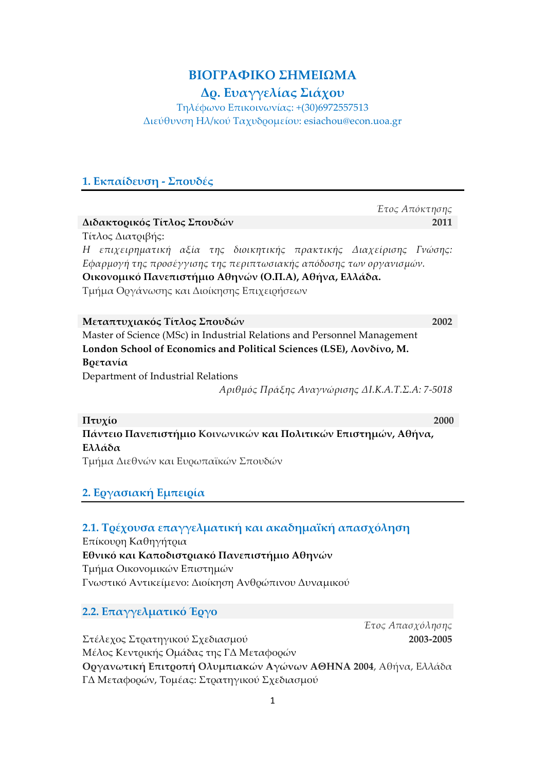# **ΒΙΟΓΡΑΦΙΚΟ ΣΗΜΕΙΩΜΑ**

# **Δρ. Ευαγγελίας Σιάχου**

Τηλέφωνο Επικοινωνίας: +(30)6972557513 Διεύθυνση Ηλ/κού Ταχυδροµείου: esiachou@econ.uoa.gr

## **1. Εκπαίδευση - Σπουδές**

|                                                                          | Έτος Απόκτησης |  |
|--------------------------------------------------------------------------|----------------|--|
| Διδακτορικός Τίτλος Σπουδών                                              | 2011           |  |
| Τίτλος Διατοιβής:                                                        |                |  |
| Η επιχειρηματική αξία της διοικητικής πρακτικής Διαχείρισης Γνώσης:      |                |  |
| Εφαρμογή της προσέγγισης της περιπτωσιακής απόδοσης των οργανισμών.      |                |  |
| Οικονομικό Πανεπιστήμιο Αθηνών (Ο.Π.Α), Αθήνα, Ελλάδα.                   |                |  |
| Τμήμα Οργάνωσης και Διοίκησης Επιχειρήσεων                               |                |  |
| Μεταπτυχιακός Τίτλος Σπουδών                                             | 2002           |  |
| Master of Science (MSc) in Industrial Relations and Personnel Management |                |  |
| London School of Economics and Political Sciences (LSE), Λονδίνο, Μ.     |                |  |
| Βρετανία                                                                 |                |  |
| Department of Industrial Relations                                       |                |  |

*Αριθµός Πράξης Αναγνώρισης ΔΙ.Κ.Α.Τ.Σ.Α: 7-5018*

**Πτυχίο 2000 Πάντειο Πανεπιστήµιο Κοινωνικών και Πολιτικών Επιστηµών, Αθήνα, Ελλάδα**  Τµήµα Διεθνών και Ευρωπαϊκών Σπουδών

# **2. Εργασιακή Εµπειρία**

#### **2.1. Τρέχουσα επαγγελµατική και ακαδηµαϊκή απασχόληση**

Επίκουρη Καθηγήτρια **Εθνικό και Καποδιστριακό Πανεπιστήµιο Αθηνών**  Τµήµα Οικονοµικών Επιστηµών Γνωστικό Αντικείµενο: Διοίκηση Ανθρώπινου Δυναµικού

**2.2. Επαγγελµατικό Έργο** 

Στέλεχος Στρατηγικού Σχεδιασµού

*Έτος Απασχόλησης*  **2003-2005**

Μέλος Κεντρικής Οµάδας της ΓΔ Μεταφορών **Οργανωτική Επιτροπή Ολυµπιακών Αγώνων ΑΘΗΝΑ 2004**, Αθήνα, Ελλάδα ΓΔ Μεταφορών, Τοµέας: Στρατηγικού Σχεδιασµού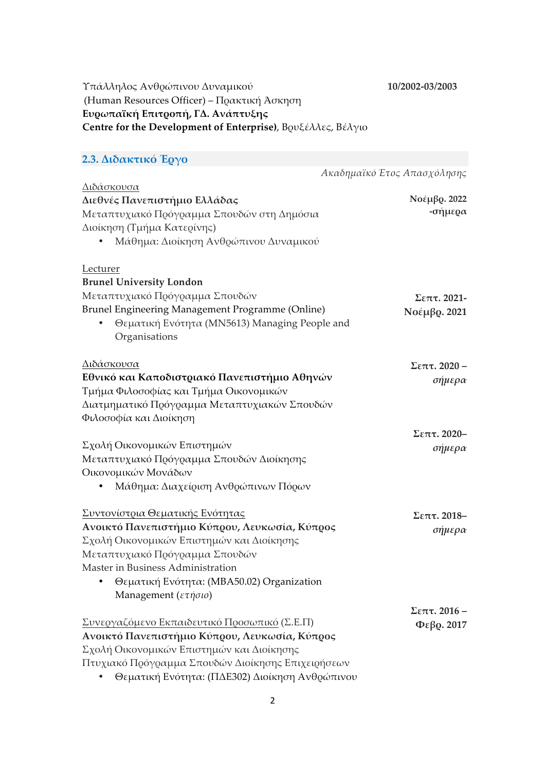#### **10/2002-03/2003**

## Υπάλληλος Ανθρώπινου Δυναµικού (Human Resources Officer) – Πρακτική Άσκηση **Ευρωπαϊκή Επιτροπή, ΓΔ. Ανάπτυξης Centre for the Development of Enterprise)**, Βρυξέλλες, Βέλγιο

#### **2.3. Διδακτικό Έργο** *Ακαδηµαϊκό Έτος Απασχόλησης* Διδάσκουσα **Διεθνές Πανεπιστήµιο Ελλάδας** Μεταπτυχιακό Πρόγραµµα Σπουδών στη Δηµόσια Διοίκηση (Τµήµα Κατερίνης) • Μάθηµα: Διοίκηση Ανθρώπινου Δυναµικού Lecturer **Brunel University London**  Μεταπτυχιακό Πρόγραµµα Σπουδών Brunel Engineering Management Programme (Online) • Θεµατική Ενότητα (MN5613) Managing People and Organisations Διδάσκουσα **Εθνικό και Καποδιστριακό Πανεπιστήµιο Αθηνών**  Τµήµα Φιλοσοφίας και Τµήµα Οικονοµικών Διατµηµατικό Πρόγραµµα Μεταπτυχιακών Σπουδών Φιλοσοφία και Διοίκηση Σχολή Οικονοµικών Επιστηµών Μεταπτυχιακό Πρόγραµµα Σπουδών Διοίκησης Οικονοµικών Μονάδων • Μάθηµα: Διαχείριση Ανθρώπινων Πόρων Συντονίστρια Θεµατικής Ενότητας **Ανοικτό Πανεπιστήµιο Κύπρου, Λευκωσία, Κύπρος**  Σχολή Οικονοµικών Επιστηµών και Διοίκησης Μεταπτυχιακό Πρόγραµµα Σπουδών Master in Business Administration • Θεµατική Ενότητα: (MBA50.02) Organization Management (*ετήσιο*) Συνεργαζόµενο Εκπαιδευτικό Προσωπικό (Σ.Ε.Π) **Ανοικτό Πανεπιστήµιο Κύπρου, Λευκωσία, Κύπρος**  Σχολή Οικονοµικών Επιστηµών και Διοίκησης Πτυχιακό Πρόγραµµα Σπουδών Διοίκησης Επιχειρήσεων **Νοέµβρ. 2022 -σήµερα Σεπτ. 2021- Νοέµβρ. 2021 Σεπτ. 2020 –** *σήµερα* **Σεπτ. 2020–** *σήµερα* **Σεπτ. 2018–** *σήµερα* **Σεπτ. 2016 – Φεβρ. 2017**

• Θεµατική Ενότητα: (ΠΔΕ302) Διοίκηση Ανθρώπινου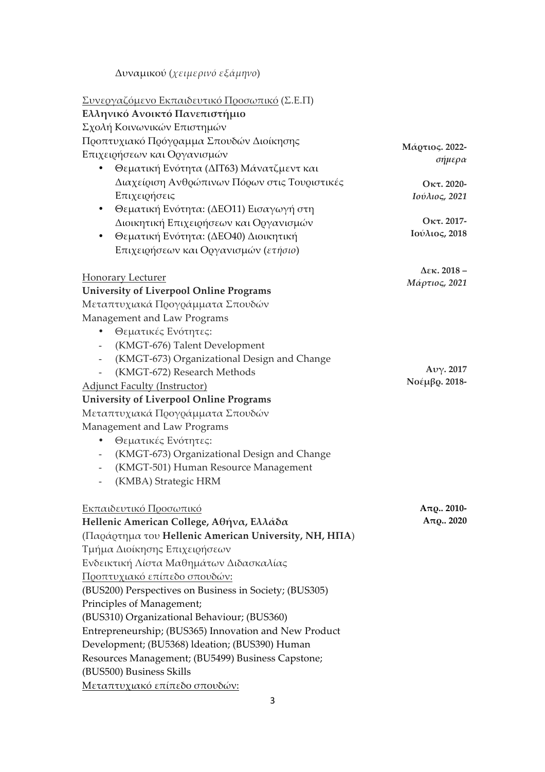Δυναµικού (*χειµερινό εξάµηνο*)

| Συνεργαζόμενο Εκπαιδευτικό Προσωπικό (Σ.Ε.Π)                     |                     |
|------------------------------------------------------------------|---------------------|
| Ελληνικό Ανοικτό Πανεπιστήμιο                                    |                     |
| Σχολή Κοινωνικών Επιστημών                                       |                     |
| Προπτυχιακό Πρόγραμμα Σπουδών Διοίκησης                          | Μάρτιος. 2022-      |
| Επιχειρήσεων και Οργανισμών                                      | σήμερα              |
| Θεματική Ενότητα (ΔΙΤ63) Μάνατζμεντ και                          |                     |
| Διαχείριση Ανθρώπινων Πόρων στις Τουριστικές                     | Οκτ. 2020-          |
| Επιχειρήσεις                                                     | Ιούλιος, 2021       |
| Θεματική Ενότητα: (ΔΕΟ11) Εισαγωγή στη<br>٠                      |                     |
| Διοικητική Επιχειρήσεων και Οργανισμών                           | Οκτ. 2017-          |
| Θεματική Ενότητα: (ΔΕΟ40) Διοικητική<br>٠                        | Ιούλιος, 2018       |
| Επιχειρήσεων και Οργανισμών (ετήσιο)                             |                     |
| Honorary Lecturer                                                | $\Delta$ εκ. 2018 – |
| <b>University of Liverpool Online Programs</b>                   | Μάρτιος, 2021       |
| Μεταπτυχιακά Προγράμματα Σπουδών                                 |                     |
|                                                                  |                     |
| Management and Law Programs<br>٠                                 |                     |
| Θεματικές Ενότητες:<br>(KMGT-676) Talent Development             |                     |
| $\overline{\phantom{a}}$                                         |                     |
| (KMGT-673) Organizational Design and Change                      | Aνγ. 2017           |
| (KMGT-672) Research Methods                                      | Νοέμβρ. 2018-       |
| <b>Adjunct Faculty (Instructor)</b>                              |                     |
| <b>University of Liverpool Online Programs</b>                   |                     |
| Μεταπτυχιακά Προγράμματα Σπουδών                                 |                     |
| Management and Law Programs                                      |                     |
| Θεματικές Ενότητες:<br>٠                                         |                     |
| (KMGT-673) Organizational Design and Change                      |                     |
| (KMGT-501) Human Resource Management<br>$\overline{\phantom{a}}$ |                     |
| (KMBA) Strategic HRM                                             |                     |
| Εκπαιδευτικό Προσωπικό                                           | $A\pi Q$ 2010-      |
| Hellenic American College, Αθήνα, Ελλάδα                         | $A_{\pi Q}$ . 2020  |
| (Παράρτημα του Hellenic American University, NH, ΗΠΑ)            |                     |
| Τμήμα Διοίκησης Επιχειρήσεων                                     |                     |
| Ενδεικτική Λίστα Μαθημάτων Διδασκαλίας                           |                     |
| <u>Προπτυχιακό επίπεδο σπουδών:</u>                              |                     |
| (BUS200) Perspectives on Business in Society; (BUS305)           |                     |
| Principles of Management;                                        |                     |
| (BUS310) Organizational Behaviour; (BUS360)                      |                     |
| Entrepreneurship; (BUS365) Innovation and New Product            |                     |
| Development; (BU5368) Ideation; (BUS390) Human                   |                     |
| Resources Management; (BU5499) Business Capstone;                |                     |
| (BUS500) Business Skills                                         |                     |
| Μεταπτυχιακό επίπεδο σπουδών:                                    |                     |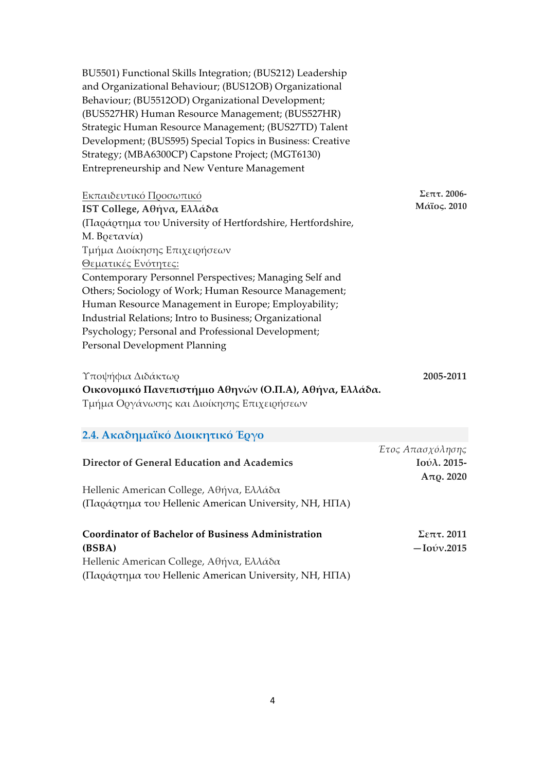BU5501) Functional Skills Integration; (BUS212) Leadership and Organizational Behaviour; (BUS12OB) Organizational Behaviour; (BU5512OD) Organizational Development; (BUS527HR) Human Resource Management; (BUS527HR) Strategic Human Resource Management; (BUS27TD) Talent Development; (BUS595) Special Topics in Business: Creative Strategy; (MBA6300CP) Capstone Project; (MGT6130) Entrepreneurship and New Venture Management

| Εκπαιδευτικό Προσωπικό                                           | $\Sigma$ επτ. 2006- |
|------------------------------------------------------------------|---------------------|
| IST College, Αθήνα, Ελλάδα                                       | Μάϊος. 2010         |
| ( $\Pi$ αράρτημα του University of Hertfordshire, Hertfordshire, |                     |
| Μ. Βρετανία)                                                     |                     |
| Τμήμα Διοίκησης Επιχειρήσεων                                     |                     |
| Θεματικές Ενότητες:                                              |                     |
| Contemporary Personnel Perspectives; Managing Self and           |                     |
| Others; Sociology of Work; Human Resource Management;            |                     |
| Human Resource Management in Europe; Employability;              |                     |
| Industrial Relations; Intro to Business; Organizational          |                     |
| Psychology; Personal and Professional Development;               |                     |
| Personal Development Planning                                    |                     |

Υποψήφια Διδάκτωρ **2005-2011 Οικονοµικό Πανεπιστήµιο Αθηνών (Ο.Π.Α), Αθήνα, Ελλάδα.** Τµήµα Οργάνωσης και Διοίκησης Επιχειρήσεων

## **2.4. Ακαδηµαϊκό Διοικητικό Έργο**

|                                                           | Έτος Απασχόλησης            |
|-----------------------------------------------------------|-----------------------------|
| Director of General Education and Academics               | $I$ ούλ. 2015-              |
|                                                           | A $\pi$ <sub>Q</sub> . 2020 |
| Hellenic American College, Αθήνα, Ελλάδα                  |                             |
| (Παράρτημα του Hellenic American University, NH, ΗΠΑ)     |                             |
| <b>Coordinator of Bachelor of Business Administration</b> | $\Sigma$ επτ. 2011          |
| (BSBA)                                                    | $-Io$ v.2015                |
| Hellenic American College, Αθήνα, Ελλάδα                  |                             |
| (Παράρτημα του Hellenic American University, NH, ΗΠΑ)     |                             |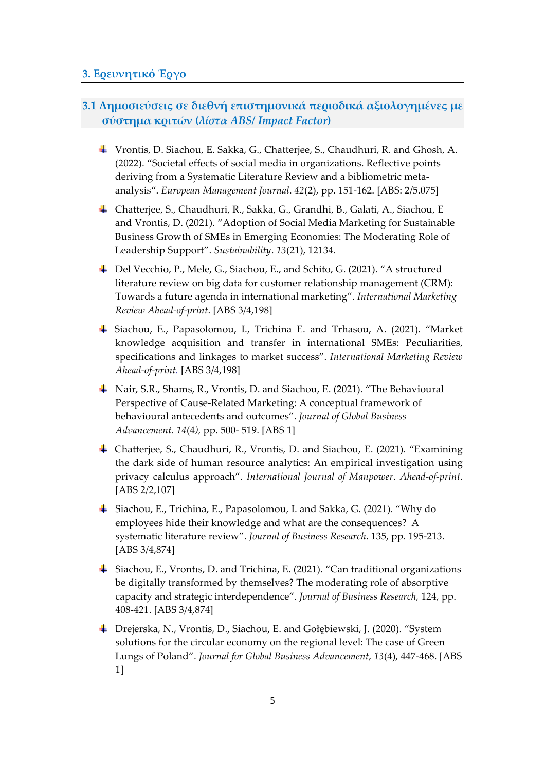## **3.1 Δηµοσιεύσεις σε διεθνή επιστηµονικά περιοδικά αξιολογηµένες µε σύστηµα κριτών (***λίστα ABS/ Impact Factor***)**

- Vrontis, D. Siachou, E. Sakka, G., Chatterjee, S., Chaudhuri, R. and Ghosh, A. (2022). "Societal effects of social media in organizations. Reflective points deriving from a Systematic Literature Review and a bibliometric metaanalysis". *European Management Journal*. *42*(2), pp. 151-162. [ABS: 2/5.075]
- Chatterjee, S., Chaudhuri, R., Sakka, G., Grandhi, B., Galati, A., Siachou, E and Vrontis, D. (2021). "Adoption of Social Media Marketing for Sustainable Business Growth of SMEs in Emerging Economies: The Moderating Role of Leadership Support". *Sustainability*. *13*(21), 12134.
- Del Vecchio, P., Mele, G., Siachou, E., and Schito, G. (2021). "A structured literature review on big data for customer relationship management (CRM): Towards a future agenda in international marketing". *International Marketing Review Ahead-of-print*. [ABS 3/4,198]
- Siachou, E., Papasolomou, I., Trichina E. and Trhasou, A. (2021). "Market knowledge acquisition and transfer in international SMEs: Peculiarities, specifications and linkages to market success". *International Marketing Review Ahead-of-print.* [ABS 3/4,198]
- Nair, S.R., Shams, R., Vrontis, D. and Siachou, E. (2021). "The Behavioural Perspective of Cause-Related Marketing: A conceptual framework of behavioural antecedents and outcomes". *Journal of Global Business Advancement*. *14*(4*),* pp. 500- 519. [ABS 1]
- Chatterjee, S., Chaudhuri, R., Vrontis, D. and Siachou, E. (2021). "Examining the dark side of human resource analytics: An empirical investigation using privacy calculus approach". *International Journal of Manpower*. *Ahead-of-print*. [ABS 2/2,107]
- Siachou, E., Trichina, E., Papasolomou, I. and Sakka, G. (2021). "Why do employees hide their knowledge and what are the consequences? A systematic literature review". *Journal of Business Research*. 135, pp. 195-213. [ABS 3/4,874]
- Siachou, E., Vrontιs, D. and Trichina, E. (2021). "Can traditional organizations be digitally transformed by themselves? The moderating role of absorptive capacity and strategic interdependence". *Journal of Business Research,* 124, pp. 408-421. [ABS 3/4,874]
- Drejerska, N., Vrontis, D., Siachou, E. and Gołębiewski, J. (2020). "System solutions for the circular economy on the regional level: The case of Green Lungs of Poland". *Journal for Global Business Advancement*, *13*(4), 447-468. [ABS 1]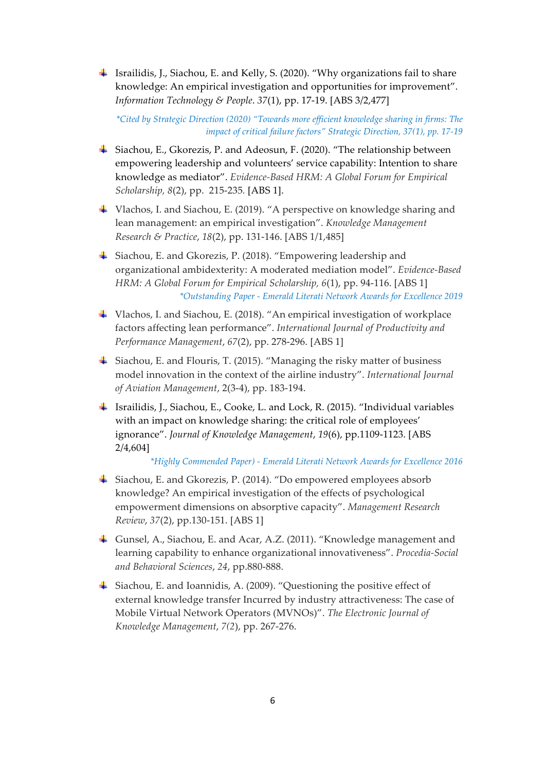Israilidis, J., Siachou, E. and Kelly, S. (2020). "Why organizations fail to share knowledge: An empirical investigation and opportunities for improvement". *Information Technology & People*. *37*(1), pp. 17-19. [ABS 3/2,477]

*\*Cited by Strategic Direction (2020) "Towards more efficient knowledge sharing in firms: The impact of critical failure factors" Strategic Direction, 37(1), pp. 17-19*

- Siachou, E., Gkorezis, P. and Adeosun, F. (2020). "The relationship between empowering leadership and volunteers' service capability: Intention to share knowledge as mediator". *Evidence-Based HRM: A Global Forum for Empirical Scholarship, 8*(2), pp. 215-235*.* [ABS 1].
- Vlachos, I. and Siachou, E. (2019). "A perspective on knowledge sharing and lean management: an empirical investigation". *Knowledge Management Research & Practice*, *18*(2), pp. 131-146. [ABS 1/1,485]
- Siachou, E. and Gkorezis, P. (2018). "Empowering leadership and organizational ambidexterity: A moderated mediation model". *Evidence-Based HRM: A Global Forum for Empirical Scholarship, 6*(1), pp. 94-116. [ABS 1] *\*Outstanding Paper - Emerald Literati Network Awards for Excellence 2019*
- Vlachos, I. and Siachou, E. (2018). "An empirical investigation of workplace factors affecting lean performance". *International Journal of Productivity and Performance Management*, *67*(2), pp. 278-296. [ABS 1]
- Siachou, E. and Flouris, T. (2015). "Managing the risky matter of business model innovation in the context of the airline industry". *International Journal of Aviation Management*, 2(3-4), pp. 183-194.
- Israilidis, J., Siachou, E., Cooke, L. and Lock, R. (2015). "Individual variables with an impact on knowledge sharing: the critical role of employees' ignorance". *Journal of Knowledge Management*, *19*(6), pp.1109-1123. [ABS 2/4,604]

*\*Highly Commended Paper) - Emerald Literati Network Awards for Excellence 2016*

- Siachou, E. and Gkorezis, P. (2014). "Do empowered employees absorb knowledge? An empirical investigation of the effects of psychological empowerment dimensions on absorptive capacity". *Management Research Review*, *37*(2), pp.130-151. [ABS 1]
- Gunsel, A., Siachou, E. and Acar, A.Z. (2011). "Knowledge management and learning capability to enhance organizational innovativeness". *Procedia-Social and Behavioral Sciences*, *24*, pp.880-888.
- Siachou, E. and Ioannidis, A. (2009). "Questioning the positive effect of external knowledge transfer Incurred by industry attractiveness: The case of Mobile Virtual Network Operators (MVNOs)". *The Electronic Journal of Knowledge Management*, *7(2*), pp. 267-276.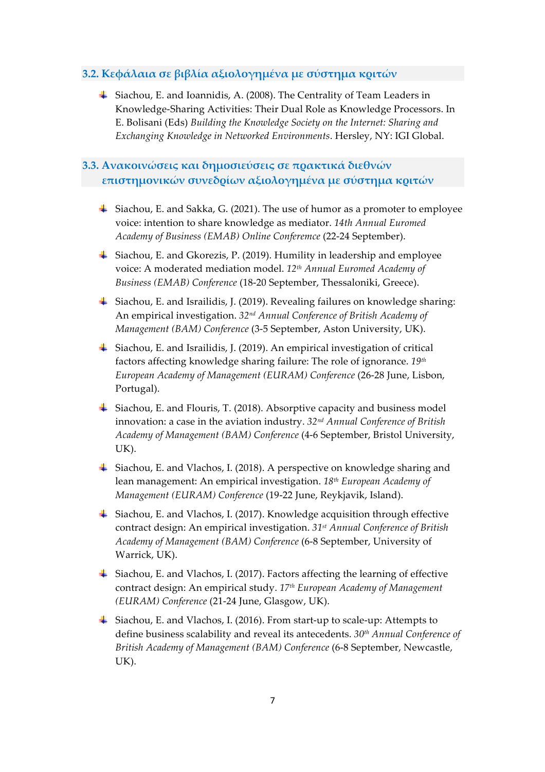#### **3.2. Κεφάλαια σε βιβλία αξιολογηµένα µε σύστηµα κριτών**

Siachou, E. and Ioannidis, A. (2008). The Centrality of Team Leaders in Knowledge-Sharing Activities: Their Dual Role as Knowledge Processors. In E. Bolisani (Eds) *Building the Knowledge Society on the Internet: Sharing and Exchanging Knowledge in Networked Environments*. Hersley, NY: IGI Global.

## **3.3. Ανακοινώσεις και δηµοσιεύσεις σε πρακτικά διεθνών επιστηµονικών συνεδρίων αξιολογηµένα µε σύστηµα κριτών**

- Siachou, E. and Sakka, G. (2021). The use of humor as a promoter to employee voice: intention to share knowledge as mediator. *14th Annual Euromed Academy of Business (EMAB) Online Conferemce* (22-24 September).
- Siachou, E. and Gkorezis, P. (2019). Humility in leadership and employee voice: A moderated mediation model. *12th Annual Euromed Academy of Business (EMAB) Conference* (18-20 September, Thessaloniki, Greece).
- Siachou, E. and Israilidis, J. (2019). Revealing failures on knowledge sharing: An empirical investigation. *32nd Annual Conference of British Academy of Management (BAM) Conference* (3-5 September, Aston University, UK).
- Siachou, E. and Israilidis, J. (2019). An empirical investigation of critical factors affecting knowledge sharing failure: The role of ignorance. *19th European Academy of Management (EURAM) Conference* (26-28 June, Lisbon, Portugal).
- $\ddot{+}$  Siachou, E. and Flouris, T. (2018). Absorptive capacity and business model innovation: a case in the aviation industry. *32nd Annual Conference of British Academy of Management (BAM) Conference* (4-6 September, Bristol University, UK).
- $\ddot{+}$  Siachou, E. and Vlachos, I. (2018). A perspective on knowledge sharing and lean management: An empirical investigation. *18th European Academy of Management (EURAM) Conference* (19-22 June, Reykjavik, Island).
- Siachou, E. and Vlachos, I. (2017). Knowledge acquisition through effective contract design: An empirical investigation. *31st Annual Conference of British Academy of Management (BAM) Conference* (6-8 September, University of Warrick, UK).
- Siachou, E. and Vlachos, I. (2017). Factors affecting the learning of effective contract design: An empirical study. *17th European Academy of Management (EURAM) Conference* (21-24 June, Glasgow, UK).
- Siachou, E. and Vlachos, I. (2016). From start-up to scale-up: Attempts to define business scalability and reveal its antecedents. *30th Annual Conference of British Academy of Management (BAM) Conference* (6-8 September, Newcastle, UK).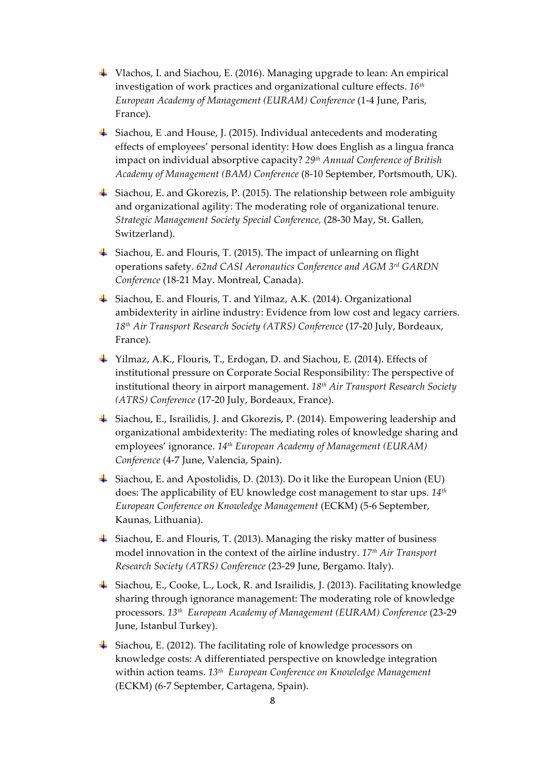- Vlachos, I. and Siachou, E. (2016). Managing upgrade to lean: An empirical investigation of work practices and organizational culture effects. *16th European Academy of Management (EURAM) Conference* (1-4 June, Paris, France).
- Siachou, E .and House, J. (2015). Individual antecedents and moderating effects of employees' personal identity: How does English as a lingua franca impact on individual absorptive capacity? *29th Annual Conference of British Academy of Management (BAM) Conference* (8-10 September, Portsmouth, UK).
- Siachou, E. and Gkorezis, P. (2015). The relationship between role ambiguity and organizational agility: The moderating role of organizational tenure. *Strategic Management Society Special Conference,* (28-30 May, St. Gallen, Switzerland).
- $\ddot{\textbf{I}}$  Siachou, E. and Flouris, T. (2015). The impact of unlearning on flight operations safety. *62nd CASI Aeronautics Conference and AGM 3rd GARDN Conference* (18-21 May. Montreal, Canada).
- Siachou, E. and Flouris, T. and Yilmaz, A.K. (2014). Organizational ambidexterity in airline industry: Evidence from low cost and legacy carriers. *18th Air Transport Research Society (ATRS) Conference* (17-20 July, Bordeaux, France).
- Yilmaz, A.K., Flouris, T., Erdogan, D. and Siachou, E. (2014). Effects of institutional pressure on Corporate Social Responsibility: The perspective of institutional theory in airport management. *18th Air Transport Research Society (ATRS) Conference* (17-20 July, Bordeaux, France).
- Siachou, E., Israilidis, J. and Gkorezis, P. (2014). Empowering leadership and organizational ambidexterity: The mediating roles of knowledge sharing and employees' ignorance. *14th European Academy of Management (EURAM) Conference* (4-7 June, Valencia, Spain).
- Siachou, E. and Apostolidis, D. (2013). Do it like the European Union (EU) does: The applicability of EU knowledge cost management to star ups. *14th European Conference on Knowledge Management* (ECKM) (5-6 September, Kaunas, Lithuania).
- $\frac{1}{2}$  Siachou, E. and Flouris, T. (2013). Managing the risky matter of business model innovation in the context of the airline industry. *17th Air Transport Research Society (ATRS) Conference* (23-29 June, Bergamo. Italy).
- Siachou, E., Cooke, L., Lock, R. and Israilidis, J. (2013). Facilitating knowledge sharing through ignorance management: The moderating role of knowledge processors. *13th European Academy of Management (EURAM) Conference* (23-29 June, Istanbul Turkey).
- $\ddot{\bullet}$  Siachou, E. (2012). The facilitating role of knowledge processors on knowledge costs: A differentiated perspective on knowledge integration within action teams. *13th European Conference on Knowledge Management*  (ECKM) (6-7 September, Cartagena, Spain).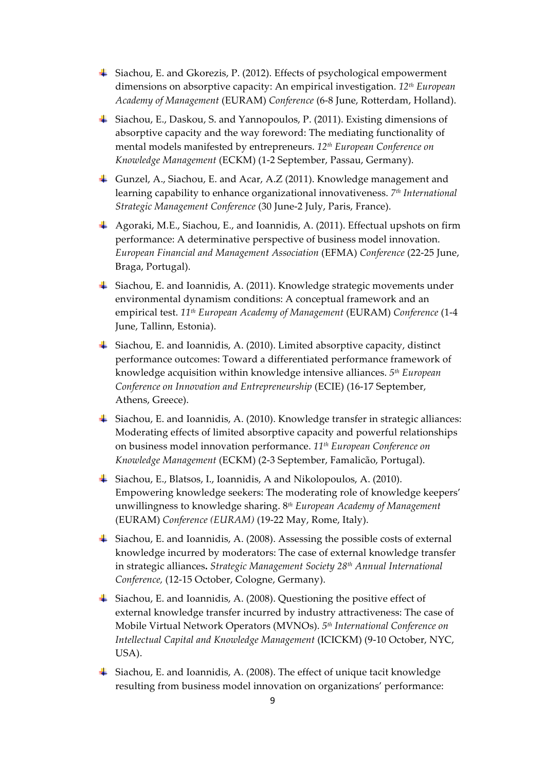- Siachou, E. and Gkorezis, P. (2012). Effects of psychological empowerment dimensions on absorptive capacity: An empirical investigation. *12th European Academy of Management* (EURAM) *Conference* (6-8 June, Rotterdam, Holland).
- Siachou, E., Daskou, S. and Yannopoulos, P. (2011). Existing dimensions of absorptive capacity and the way foreword: The mediating functionality of mental models manifested by entrepreneurs. *12th European Conference on Knowledge Management* (ECKM) (1-2 September, Passau, Germany).
- Gunzel, A., Siachou, E. and Acar, A.Z (2011). Knowledge management and learning capability to enhance organizational innovativeness. *7th International Strategic Management Conference* (30 June-2 July, Paris, France).
- Agoraki, M.E., Siachou, E., and Ioannidis, A. (2011). Effectual upshots on firm performance: A determinative perspective of business model innovation. *European Financial and Management Association* (EFMA) *Conference* (22-25 June, Braga, Portugal).
- $\frac{1}{2}$  Siachou, E. and Ioannidis, A. (2011). Knowledge strategic movements under environmental dynamism conditions: A conceptual framework and an empirical test. *11th European Academy of Management* (EURAM) *Conference* (1-4 June, Tallinn, Estonia).
- Siachou, E. and Ioannidis, A. (2010). Limited absorptive capacity, distinct performance outcomes: Toward a differentiated performance framework of knowledge acquisition within knowledge intensive alliances. *5th European Conference on Innovation and Entrepreneurship* (ECIE) (16-17 September, Athens, Greece).
- Siachou, E. and Ioannidis, A. (2010). Knowledge transfer in strategic alliances: Moderating effects of limited absorptive capacity and powerful relationships on business model innovation performance. *11th European Conference on Knowledge Management* (ECKM) (2-3 September, Famalicão, Portugal).
- Siachou, E., Blatsos, I., Ioannidis, A and Nikolopoulos, A. (2010). Empowering knowledge seekers: The moderating role of knowledge keepers' unwillingness to knowledge sharing. 8*th European Academy of Management*  (EURAM) *Conference (EURAM)* (19-22 May, Rome, Italy).
- Siachou, E. and Ioannidis, A. (2008). Assessing the possible costs of external knowledge incurred by moderators: The case of external knowledge transfer in strategic alliances**.** *Strategic Management Society 28th Annual International Conference,* (12-15 October, Cologne, Germany).
- Siachou, E. and Ioannidis, A. (2008). Questioning the positive effect of external knowledge transfer incurred by industry attractiveness: The case of Mobile Virtual Network Operators (MVNOs). *5th International Conference on Intellectual Capital and Knowledge Management* (ICICKM) (9-10 October, NYC, USA).
- Siachou, E. and Ioannidis, A. (2008). The effect of unique tacit knowledge resulting from business model innovation on organizations' performance: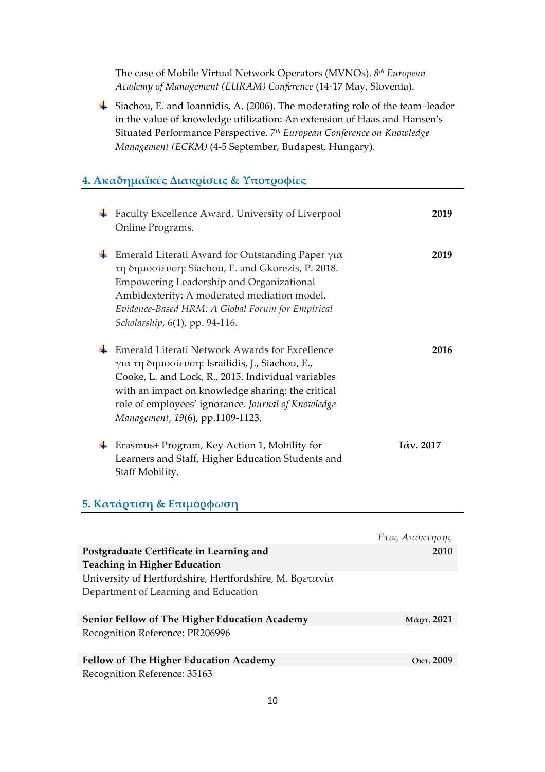The case of Mobile Virtual Network Operators (MVNOs). *8th European Academy of Management (EURAM) Conference* (14-17 May, Slovenia).

Siachou, E. and Ioannidis, A. (2006). The moderating role of the team–leader in the value of knowledge utilization: An extension of Haas and Hansen's Situated Performance Perspective. *7th European Conference on Knowledge Management (ECKM)* (4-5 September, Budapest, Hungary).

# **4. Ακαδηµαϊκές Διακρίσεις & Υποτροφίες**

| Faculty Excellence Award, University of Liverpool<br>Online Programs.                                                                                                                                                                                                                                  | 2019         |
|--------------------------------------------------------------------------------------------------------------------------------------------------------------------------------------------------------------------------------------------------------------------------------------------------------|--------------|
| Emerald Literati Award for Outstanding Paper $\gamma\alpha$<br>τη δημοσίευση: Siachou, E. and Gkorezis, P. 2018.<br>Empowering Leadership and Organizational<br>Ambidexterity: A moderated mediation model.<br>Evidence-Based HRM: A Global Forum for Empirical<br>Scholarship, 6(1), pp. 94-116.      | 2019         |
| Emerald Literati Network Awards for Excellence<br>για τη δημοσίευση: Israilidis, J., Siachou, E.,<br>Cooke, L. and Lock, R., 2015. Individual variables<br>with an impact on knowledge sharing: the critical<br>role of employees' ignorance. Journal of Knowledge<br>Management, 19(6), pp.1109-1123. | 2016         |
| Erasmus+ Program, Key Action 1, Mobility for<br>Learners and Staff, Higher Education Students and<br>Staff Mobility.                                                                                                                                                                                   | $I$ άν. 2017 |

#### **5. Κατάρτιση & Επιµόρφωση**

|                                                         | Έτος Απόκτησης  |
|---------------------------------------------------------|-----------------|
| Postgraduate Certificate in Learning and                | 2010            |
| <b>Teaching in Higher Education</b>                     |                 |
| University of Hertfordshire, Hertfordshire, Μ. Βρετανία |                 |
| Department of Learning and Education                    |                 |
| <b>Senior Fellow of The Higher Education Academy</b>    | Μάρτ. 2021      |
| Recognition Reference: PR206996                         |                 |
| <b>Fellow of The Higher Education Academy</b>           | $O_{Kt}$ . 2009 |
| Recognition Reference: 35163                            |                 |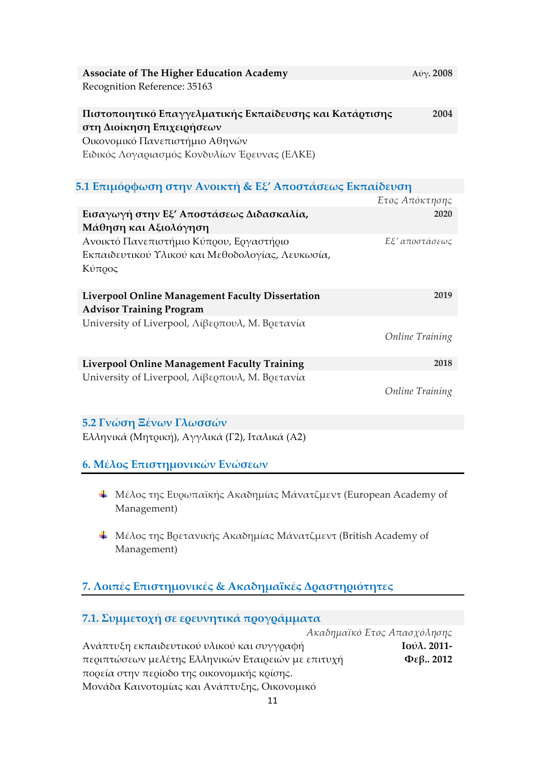| <b>Associate of The Higher Education Academy</b>                                     | $A$ ύγ. 2008           |
|--------------------------------------------------------------------------------------|------------------------|
| Recognition Reference: 35163                                                         |                        |
| Πιστοποιητικό Επαγγελματικής Εκπαίδευσης και Κατάρτισης<br>στη Διοίκηση Επιχειρήσεων | 2004                   |
| Οικονομικό Πανεπιστήμιο Αθηνών                                                       |                        |
| Ειδικός Λογαριασμός Κονδυλίων Έρευνας (ΕΛΚΕ)                                         |                        |
| 5.1 Επιμόρφωση στην Ανοικτή & Εξ' Αποστάσεως Εκπαίδευση                              |                        |
|                                                                                      | Έτος Απόκτησης         |
| Εισαγωγή στην Εξ' Αποστάσεως Διδασκαλία,                                             | 2020                   |
| Μάθηση και Αξιολόγηση                                                                |                        |
| Ανοικτό Πανεπιστήμιο Κύπρου, Εργαστήριο                                              | Εξ' αποστάσεως         |
| Εκπαιδευτικού Υλικού και Μεθοδολογίας, Λευκωσία,<br>Κύπρος                           |                        |
| Liverpool Online Management Faculty Dissertation                                     | 2019                   |
| <b>Advisor Training Program</b>                                                      |                        |
| University of Liverpool, Λίβερπουλ, Μ. Βρετανία                                      |                        |
|                                                                                      | <b>Online Training</b> |
| <b>Liverpool Online Management Faculty Training</b>                                  | 2018                   |
| University of Liverpool, Λίβερπουλ, Μ. Βρετανία                                      |                        |
|                                                                                      | <b>Online Training</b> |
| 5.2 Γνώση Ξένων Γλωσσών                                                              |                        |
| Ελληνικά (Μητρική), Αγγλικά (Γ2), Ιταλικά (Α2)                                       |                        |
| 6. Μέλος Επιστημονικών Ενώσεων                                                       |                        |

- Μέλος της Ευρωπαϊκής Ακαδηµίας Μάνατζµεντ (European Academy of Management)
- Μέλος της Βρετανικής Ακαδηµίας Μάνατζµεντ (British Academy of Management)

# **7. Λοιπές Επιστηµονικές & Ακαδηµαϊκές Δραστηριότητες**

| 7.1. Συμμετοχή σε ερευνητικά προγράμματα           |                |  |
|----------------------------------------------------|----------------|--|
| Ακαδημαϊκό Έτος Απασχόλησης                        |                |  |
| Ανάπτυξη εκπαιδευτικού υλικού και συγγραφή         | Iούλ. 2011-    |  |
| περιπτώσεων μελέτης Ελληνικών Εταιρειών με επιτυχή | $\Phi$ εβ 2012 |  |
| πορεία στην περίοδο της οικονομικής κρίσης.        |                |  |
| Μονάδα Καινοτομίας και Ανάπτυξης, Οικονομικό       |                |  |
|                                                    |                |  |